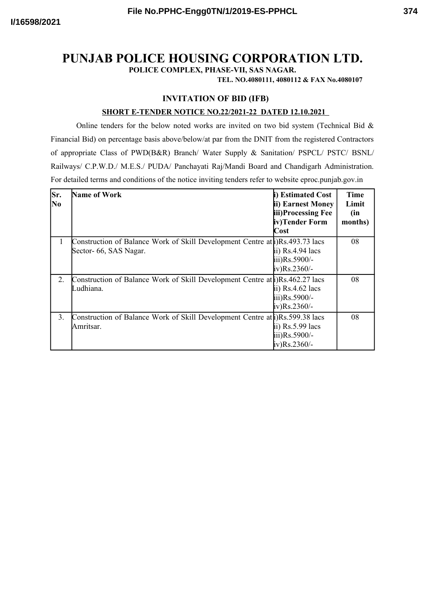**POLICE COMPLEX, PHASE-VII, SAS NAGAR.**

**TEL. NO.4080111, 4080112 & FAX No.4080107**

## **INVITATION OF BID (IFB)**

## **SHORT E-TENDER NOTICE NO.22/2021-22 DATED 12.10.2021**

Online tenders for the below noted works are invited on two bid system (Technical Bid  $\&$ Financial Bid) on percentage basis above/below/at par from the DNIT from the registered Contractors of appropriate Class of PWD(B&R) Branch/ Water Supply & Sanitation/ PSPCL/ PSTC/ BSNL/ Railways/ C.P.W.D./ M.E.S./ PUDA/ Panchayati Raj/Mandi Board and Chandigarh Administration. For detailed terms and conditions of the notice inviting tenders refer to website eproc.punjab.gov.in

| Sr.<br>N <sub>0</sub> | <b>Name of Work</b>                                                                                     | i) Estimated Cost<br>ii) Earnest Money<br>iii)Processing Fee<br>iv)Tender Form<br>Cost | Time<br>Limit<br>(in<br>months) |
|-----------------------|---------------------------------------------------------------------------------------------------------|----------------------------------------------------------------------------------------|---------------------------------|
| 1                     | Construction of Balance Work of Skill Development Centre at al)Rs.493.73 lacs<br>Sector- 66, SAS Nagar. | ii) $Rs.4.94$ lacs<br>iii)Rs.5900/-<br>iv)Rs.2360/-                                    | 08                              |
| 2.                    | Construction of Balance Work of Skill Development Centre at al)Rs.462.27 lacs<br>Ludhiana.              | ii) $Rs.4.62$ lacs<br>iii)Rs.5900/-<br>iv)Rs.2360/-                                    | 08                              |
| 3.                    | Construction of Balance Work of Skill Development Centre at a Rs. 599.38 lacs<br>Amritsar.              | ii) $Rs.5.99$ lacs<br>iii)Rs.5900/-<br>iv)Rs.2360/-                                    | 08                              |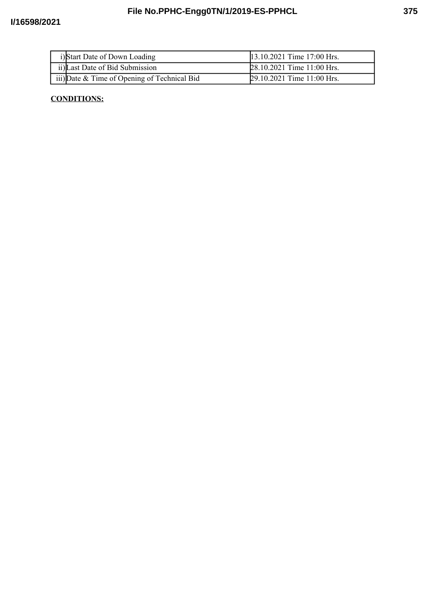| i)Start Date of Down Loading                    | 13.10.2021 Time 17:00 Hrs. |
|-------------------------------------------------|----------------------------|
| ii) Last Date of Bid Submission                 | 28.10.2021 Time 11:00 Hrs. |
| iii) Date $\&$ Time of Opening of Technical Bid | 29.10.2021 Time 11:00 Hrs. |

## **CONDITIONS:**